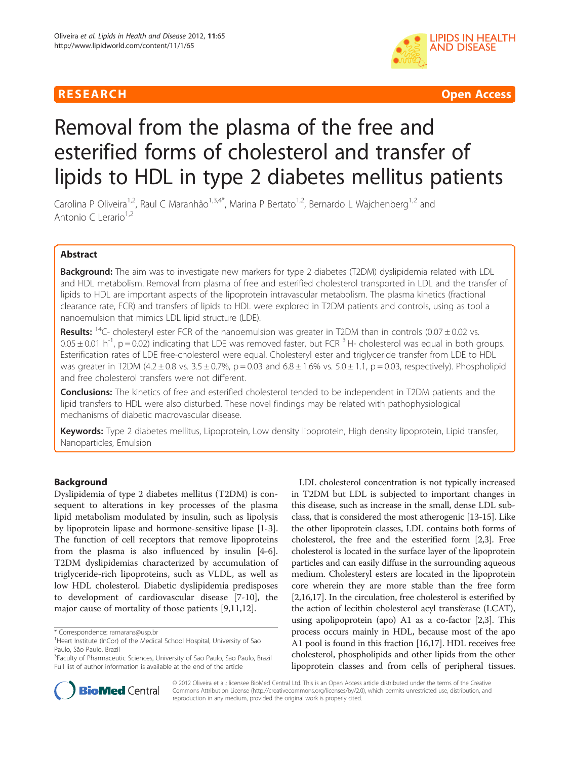# **RESEARCH CHEAR CHEAR CHEAR CHEAR CHEAR CHEAR CHEAR CHEAR CHEAR CHEAR CHEAR CHEAR CHEAR CHEAR CHEAR CHEAR CHEAR**



# Removal from the plasma of the free and esterified forms of cholesterol and transfer of lipids to HDL in type 2 diabetes mellitus patients

Carolina P Oliveira<sup>1,2</sup>, Raul C Maranhão<sup>1,3,4\*</sup>, Marina P Bertato<sup>1,2</sup>, Bernardo L Wajchenberg<sup>1,2</sup> and Antonio C Lerario $1,2$ 

# Abstract

**Background:** The aim was to investigate new markers for type 2 diabetes (T2DM) dyslipidemia related with LDL and HDL metabolism. Removal from plasma of free and esterified cholesterol transported in LDL and the transfer of lipids to HDL are important aspects of the lipoprotein intravascular metabolism. The plasma kinetics (fractional clearance rate, FCR) and transfers of lipids to HDL were explored in T2DM patients and controls, using as tool a nanoemulsion that mimics LDL lipid structure (LDE).

**Results:** <sup>14</sup>C- cholesteryl ester FCR of the nanoemulsion was greater in T2DM than in controls (0.07  $\pm$  0.02 vs.  $0.05 \pm 0.01$  h<sup>-1</sup>, p = 0.02) indicating that LDE was removed faster, but FCR <sup>3</sup> H- cholesterol was equal in both groups. Esterification rates of LDE free-cholesterol were equal. Cholesteryl ester and triglyceride transfer from LDE to HDL was greater in T2DM (4.2 ± 0.8 vs. 3.5 ± 0.7%, p = 0.03 and  $6.8 \pm 1.6$ % vs.  $5.0 \pm 1.1$ , p = 0.03, respectively). Phospholipid and free cholesterol transfers were not different.

Conclusions: The kinetics of free and esterified cholesterol tended to be independent in T2DM patients and the lipid transfers to HDL were also disturbed. These novel findings may be related with pathophysiological mechanisms of diabetic macrovascular disease.

Keywords: Type 2 diabetes mellitus, Lipoprotein, Low density lipoprotein, High density lipoprotein, Lipid transfer, Nanoparticles, Emulsion

# Background

Dyslipidemia of type 2 diabetes mellitus (T2DM) is consequent to alterations in key processes of the plasma lipid metabolism modulated by insulin, such as lipolysis by lipoprotein lipase and hormone-sensitive lipase [[1-3](#page-6-0)]. The function of cell receptors that remove lipoproteins from the plasma is also influenced by insulin [[4-6](#page-6-0)]. T2DM dyslipidemias characterized by accumulation of triglyceride-rich lipoproteins, such as VLDL, as well as low HDL cholesterol. Diabetic dyslipidemia predisposes to development of cardiovascular disease [[7-10\]](#page-6-0), the major cause of mortality of those patients [[9,11,12\]](#page-6-0).

LDL cholesterol concentration is not typically increased in T2DM but LDL is subjected to important changes in this disease, such as increase in the small, dense LDL subclass, that is considered the most atherogenic [\[13-15\]](#page-6-0). Like the other lipoprotein classes, LDL contains both forms of cholesterol, the free and the esterified form [\[2,3](#page-6-0)]. Free cholesterol is located in the surface layer of the lipoprotein particles and can easily diffuse in the surrounding aqueous medium. Cholesteryl esters are located in the lipoprotein core wherein they are more stable than the free form [[2,16,17\]](#page-6-0). In the circulation, free cholesterol is esterified by the action of lecithin cholesterol acyl transferase (LCAT), using apolipoprotein (apo) A1 as a co-factor [\[2,3](#page-6-0)]. This process occurs mainly in HDL, because most of the apo A1 pool is found in this fraction [[16,17](#page-6-0)]. HDL receives free cholesterol, phospholipids and other lipids from the other lipoprotein classes and from cells of peripheral tissues.



© 2012 Oliveira et al.; licensee BioMed Central Ltd. This is an Open Access article distributed under the terms of the Creative Commons Attribution License [\(http://creativecommons.org/licenses/by/2.0\)](http://creativecommons.org/licenses/by/2.0), which permits unrestricted use, distribution, and reproduction in any medium, provided the original work is properly cited.

<sup>\*</sup> Correspondence: [ramarans@usp.br](mailto:ramarans@usp.br) <sup>1</sup>

<sup>&</sup>lt;sup>1</sup>Heart Institute (InCor) of the Medical School Hospital, University of Sao Paulo, São Paulo, Brazil

<sup>&</sup>lt;sup>3</sup>Faculty of Pharmaceutic Sciences, University of Sao Paulo, São Paulo, Brazil Full list of author information is available at the end of the article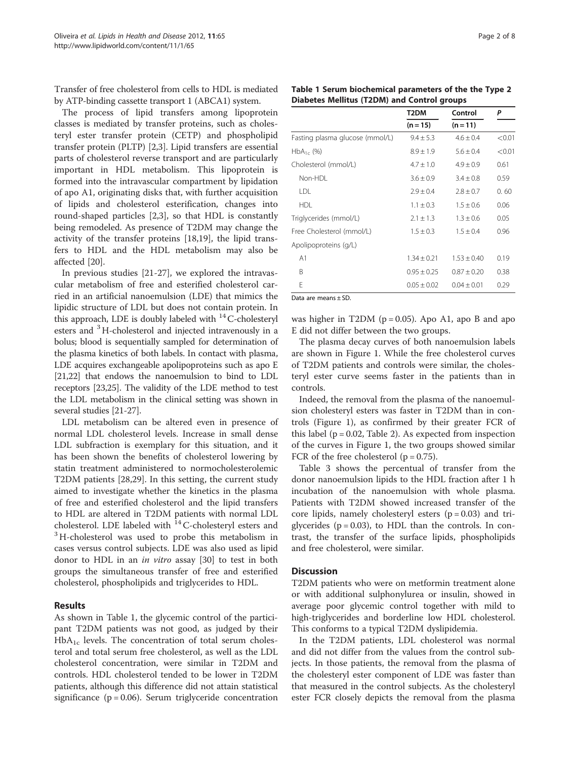Transfer of free cholesterol from cells to HDL is mediated by ATP-binding cassette transport 1 (ABCA1) system.

The process of lipid transfers among lipoprotein classes is mediated by transfer proteins, such as cholesteryl ester transfer protein (CETP) and phospholipid transfer protein (PLTP) [\[2,3](#page-6-0)]. Lipid transfers are essential parts of cholesterol reverse transport and are particularly important in HDL metabolism. This lipoprotein is formed into the intravascular compartment by lipidation of apo A1, originating disks that, with further acquisition of lipids and cholesterol esterification, changes into round-shaped particles [\[2,3\]](#page-6-0), so that HDL is constantly being remodeled. As presence of T2DM may change the activity of the transfer proteins [[18,19](#page-6-0)], the lipid transfers to HDL and the HDL metabolism may also be affected [[20](#page-6-0)].

In previous studies [\[21](#page-6-0)-[27](#page-6-0)], we explored the intravascular metabolism of free and esterified cholesterol carried in an artificial nanoemulsion (LDE) that mimics the lipidic structure of LDL but does not contain protein. In this approach, LDE is doubly labeled with  $^{14}$ C-cholesteryl esters and <sup>3</sup>H-cholesterol and injected intravenously in a bolus; blood is sequentially sampled for determination of the plasma kinetics of both labels. In contact with plasma, LDE acquires exchangeable apolipoproteins such as apo E [[21,22](#page-6-0)] that endows the nanoemulsion to bind to LDL receptors [\[23,25\]](#page-6-0). The validity of the LDE method to test the LDL metabolism in the clinical setting was shown in several studies [[21](#page-6-0)-[27](#page-6-0)].

LDL metabolism can be altered even in presence of normal LDL cholesterol levels. Increase in small dense LDL subfraction is exemplary for this situation, and it has been shown the benefits of cholesterol lowering by statin treatment administered to normocholesterolemic T2DM patients [\[28,29\]](#page-6-0). In this setting, the current study aimed to investigate whether the kinetics in the plasma of free and esterified cholesterol and the lipid transfers to HDL are altered in T2DM patients with normal LDL cholesterol. LDE labeled with  $14$ <sup>14</sup>C-cholesteryl esters and  $3$  H-cholesterol was used to probe this metabolism in cases versus control subjects. LDE was also used as lipid donor to HDL in an in vitro assay [[30](#page-6-0)] to test in both groups the simultaneous transfer of free and esterified cholesterol, phospholipids and triglycerides to HDL.

# Results

As shown in Table 1, the glycemic control of the participant T2DM patients was not good, as judged by their  $HbA<sub>1c</sub>$  levels. The concentration of total serum cholesterol and total serum free cholesterol, as well as the LDL cholesterol concentration, were similar in T2DM and controls. HDL cholesterol tended to be lower in T2DM patients, although this difference did not attain statistical significance ( $p = 0.06$ ). Serum triglyceride concentration

| Table 1 Serum biochemical parameters of the the Type 2 |  |
|--------------------------------------------------------|--|
| Diabetes Mellitus (T2DM) and Control groups            |  |

|                                 | T <sub>2</sub> DM | Control         | P      |
|---------------------------------|-------------------|-----------------|--------|
|                                 | $(n = 15)$        | $(n = 11)$      |        |
| Fasting plasma glucose (mmol/L) | $9.4 \pm 5.3$     | $4.6 \pm 0.4$   | < 0.01 |
| $HbA_{1c}$ (%)                  | $8.9 \pm 1.9$     | $5.6 \pm 0.4$   | < 0.01 |
| Cholesterol (mmol/L)            | $4.7 \pm 1.0$     | $4.9 \pm 0.9$   | 0.61   |
| Non-HDL                         | $3.6 \pm 0.9$     | $3.4 \pm 0.8$   | 0.59   |
| <b>LDL</b>                      | $2.9 \pm 0.4$     | $2.8 \pm 0.7$   | 0.60   |
| <b>HDL</b>                      | $1.1 \pm 0.3$     | $1.5 \pm 0.6$   | 0.06   |
| Triglycerides (mmol/L)          | $2.1 \pm 1.3$     | $1.3 \pm 0.6$   | 0.05   |
| Free Cholesterol (mmol/L)       | $1.5 \pm 0.3$     | $1.5 \pm 0.4$   | 0.96   |
| Apolipoproteins (g/L)           |                   |                 |        |
| A <sub>1</sub>                  | $1.34 \pm 0.21$   | $1.53 \pm 0.40$ | 0.19   |
| B                               | $0.95 \pm 0.25$   | $0.87 \pm 0.20$ | 0.38   |
| F                               | $0.05 \pm 0.02$   | $0.04 \pm 0.01$ | 0.29   |
|                                 |                   |                 |        |

Data are means ± SD.

was higher in T2DM ( $p = 0.05$ ). Apo A1, apo B and apo E did not differ between the two groups.

The plasma decay curves of both nanoemulsion labels are shown in Figure [1.](#page-2-0) While the free cholesterol curves of T2DM patients and controls were similar, the cholesteryl ester curve seems faster in the patients than in controls.

Indeed, the removal from the plasma of the nanoemulsion cholesteryl esters was faster in T2DM than in controls (Figure [1\)](#page-2-0), as confirmed by their greater FCR of this label ( $p = 0.02$ , Table [2\)](#page-2-0). As expected from inspection of the curves in Figure [1](#page-2-0), the two groups showed similar FCR of the free cholesterol ( $p = 0.75$ ).

Table [3](#page-2-0) shows the percentual of transfer from the donor nanoemulsion lipids to the HDL fraction after 1 h incubation of the nanoemulsion with whole plasma. Patients with T2DM showed increased transfer of the core lipids, namely cholesteryl esters  $(p = 0.03)$  and triglycerides ( $p = 0.03$ ), to HDL than the controls. In contrast, the transfer of the surface lipids, phospholipids and free cholesterol, were similar.

# **Discussion**

T2DM patients who were on metformin treatment alone or with additional sulphonylurea or insulin, showed in average poor glycemic control together with mild to high-triglycerides and borderline low HDL cholesterol. This conforms to a typical T2DM dyslipidemia.

In the T2DM patients, LDL cholesterol was normal and did not differ from the values from the control subjects. In those patients, the removal from the plasma of the cholesteryl ester component of LDE was faster than that measured in the control subjects. As the cholesteryl ester FCR closely depicts the removal from the plasma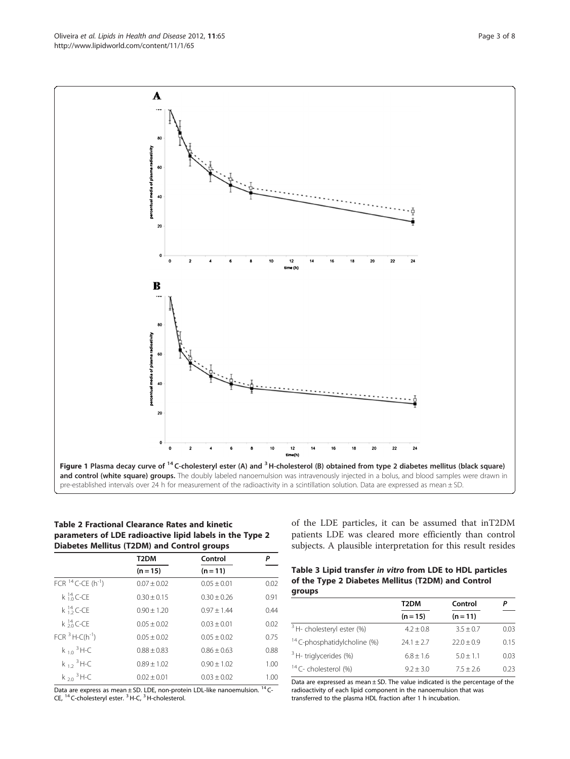Table 2 Fractional Clearance Rates and kinetic parameters of LDE radioactive lipid labels in the Type 2 Diabetes Mellitus (T2DM) and Control groups

|                                     | T <sub>2</sub> DM | Control         | Ρ                     |
|-------------------------------------|-------------------|-----------------|-----------------------|
|                                     | $(n = 15)$        | $(n = 11)$      |                       |
| FCR $^{14}$ C-CE (h <sup>-1</sup> ) | $0.07 \pm 0.02$   | $0.05 + 0.01$   | 0.02                  |
| $k_{10}^{14}$ C-CE                  | $0.30 + 0.15$     | $0.30 + 0.26$   | 0.91                  |
| k ${}^{14}_{12}$ C-CE               | $0.90 + 1.20$     | $0.97 + 1.44$   | 0.44                  |
| $k \frac{14}{20}$ C-CE              | $0.05 + 0.02$     | $0.03 + 0.01$   | 0.02                  |
| $FCR3 H-C(h-1)$                     | $0.05 + 0.02$     | $0.05 + 0.02$   | 0.75                  |
| $k_{10}$ <sup>3</sup> H-C           | $0.88 + 0.83$     | $0.86 + 0.63$   | 0.88                  |
| $k_{12}$ <sup>3</sup> H-C           | $0.89 + 1.02$     | $0.90 + 1.02$   | 1.00                  |
| $k_{20}$ <sup>3</sup> H-C           | $0.02 + 0.01$     | $0.03 \pm 0.02$ | 1.00<br>$\sim$ $\sim$ |

Data are express as mean  $\pm$  SD. LDE, non-protein LDL-like nanoemulsion. <sup>14</sup> C-CE, <sup>14</sup> C-cholesteryl ester. 3H-C, 3H-cholesterol.

of the LDE particles, it can be assumed that inT2DM patients LDE was cleared more efficiently than control subjects. A plausible interpretation for this result resides

| Table 3 Lipid transfer in vitro from LDE to HDL particles |
|-----------------------------------------------------------|
| of the Type 2 Diabetes Mellitus (T2DM) and Control        |
| groups                                                    |

|                                         | T2DM          | Control      |      |
|-----------------------------------------|---------------|--------------|------|
|                                         | $(n = 15)$    | $(n = 11)$   |      |
| <sup>3</sup> H- cholesteryl ester (%)   | $4.2 \pm 0.8$ | $3.5 + 0.7$  | 0.03 |
| <sup>14</sup> C-phosphatidylcholine (%) | $74.1 + 7.7$  | $22.0 + 0.9$ | 0.15 |
| <sup>3</sup> H- triglycerides (%)       | $6.8 + 1.6$   | $5.0 + 1.1$  | 0.03 |
| <sup>14</sup> C- cholesterol (%)        | $9.2 + 3.0$   | $7.5 + 2.6$  | 0.23 |

Data are expressed as mean  $\pm$  SD. The value indicated is the percentage of the radioactivity of each lipid component in the nanoemulsion that was transferred to the plasma HDL fraction after 1 h incubation.

<span id="page-2-0"></span>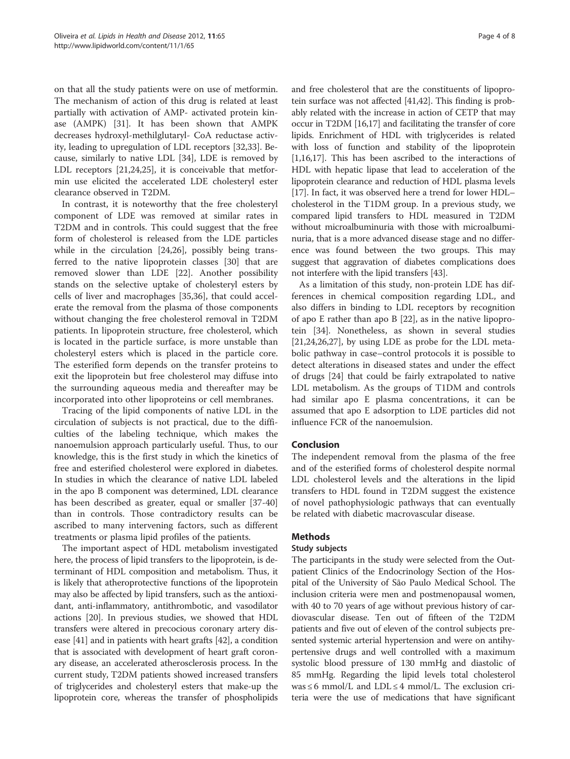on that all the study patients were on use of metformin. The mechanism of action of this drug is related at least partially with activation of AMP- activated protein kinase (AMPK) [[31\]](#page-6-0). It has been shown that AMPK decreases hydroxyl-methilglutaryl- CoA reductase activity, leading to upregulation of LDL receptors [[32](#page-6-0),[33](#page-6-0)]. Because, similarly to native LDL [[34\]](#page-6-0), LDE is removed by LDL receptors [\[21,24,25](#page-6-0)], it is conceivable that metformin use elicited the accelerated LDE cholesteryl ester clearance observed in T2DM.

In contrast, it is noteworthy that the free cholesteryl component of LDE was removed at similar rates in T2DM and in controls. This could suggest that the free form of cholesterol is released from the LDE particles while in the circulation [\[24,26\]](#page-6-0), possibly being transferred to the native lipoprotein classes [\[30](#page-6-0)] that are removed slower than LDE [\[22](#page-6-0)]. Another possibility stands on the selective uptake of cholesteryl esters by cells of liver and macrophages [\[35,36\]](#page-6-0), that could accelerate the removal from the plasma of those components without changing the free cholesterol removal in T2DM patients. In lipoprotein structure, free cholesterol, which is located in the particle surface, is more unstable than cholesteryl esters which is placed in the particle core. The esterified form depends on the transfer proteins to exit the lipoprotein but free cholesterol may diffuse into the surrounding aqueous media and thereafter may be incorporated into other lipoproteins or cell membranes.

Tracing of the lipid components of native LDL in the circulation of subjects is not practical, due to the difficulties of the labeling technique, which makes the nanoemulsion approach particularly useful. Thus, to our knowledge, this is the first study in which the kinetics of free and esterified cholesterol were explored in diabetes. In studies in which the clearance of native LDL labeled in the apo B component was determined, LDL clearance has been described as greater, equal or smaller [\[37](#page-7-0)-[40](#page-7-0)] than in controls. Those contradictory results can be ascribed to many intervening factors, such as different treatments or plasma lipid profiles of the patients.

The important aspect of HDL metabolism investigated here, the process of lipid transfers to the lipoprotein, is determinant of HDL composition and metabolism. Thus, it is likely that atheroprotective functions of the lipoprotein may also be affected by lipid transfers, such as the antioxidant, anti-inflammatory, antithrombotic, and vasodilator actions [[20](#page-6-0)]. In previous studies, we showed that HDL transfers were altered in precocious coronary artery disease [\[41\]](#page-7-0) and in patients with heart grafts [[42\]](#page-7-0), a condition that is associated with development of heart graft coronary disease, an accelerated atherosclerosis process. In the current study, T2DM patients showed increased transfers of triglycerides and cholesteryl esters that make-up the lipoprotein core, whereas the transfer of phospholipids

and free cholesterol that are the constituents of lipoprotein surface was not affected [[41,42](#page-7-0)]. This finding is probably related with the increase in action of CETP that may occur in T2DM [\[16,17\]](#page-6-0) and facilitating the transfer of core lipids. Enrichment of HDL with triglycerides is related with loss of function and stability of the lipoprotein [[1,16,17](#page-6-0)]. This has been ascribed to the interactions of HDL with hepatic lipase that lead to acceleration of the lipoprotein clearance and reduction of HDL plasma levels [[17](#page-6-0)]. In fact, it was observed here a trend for lower HDL– cholesterol in the T1DM group. In a previous study, we compared lipid transfers to HDL measured in T2DM without microalbuminuria with those with microalbuminuria, that is a more advanced disease stage and no difference was found between the two groups. This may suggest that aggravation of diabetes complications does not interfere with the lipid transfers [\[43\]](#page-7-0).

As a limitation of this study, non-protein LDE has differences in chemical composition regarding LDL, and also differs in binding to LDL receptors by recognition of apo E rather than apo B [\[22](#page-6-0)], as in the native lipoprotein [\[34](#page-6-0)]. Nonetheless, as shown in several studies [[21,24,26,27\]](#page-6-0), by using LDE as probe for the LDL metabolic pathway in case–control protocols it is possible to detect alterations in diseased states and under the effect of drugs [\[24](#page-6-0)] that could be fairly extrapolated to native LDL metabolism. As the groups of T1DM and controls had similar apo E plasma concentrations, it can be assumed that apo E adsorption to LDE particles did not influence FCR of the nanoemulsion.

# Conclusion

The independent removal from the plasma of the free and of the esterified forms of cholesterol despite normal LDL cholesterol levels and the alterations in the lipid transfers to HDL found in T2DM suggest the existence of novel pathophysiologic pathways that can eventually be related with diabetic macrovascular disease.

# Methods

# Study subjects

The participants in the study were selected from the Outpatient Clinics of the Endocrinology Section of the Hospital of the University of São Paulo Medical School. The inclusion criteria were men and postmenopausal women, with 40 to 70 years of age without previous history of cardiovascular disease. Ten out of fifteen of the T2DM patients and five out of eleven of the control subjects presented systemic arterial hypertension and were on antihypertensive drugs and well controlled with a maximum systolic blood pressure of 130 mmHg and diastolic of 85 mmHg. Regarding the lipid levels total cholesterol was  $\leq$  6 mmol/L and LDL  $\leq$  4 mmol/L. The exclusion criteria were the use of medications that have significant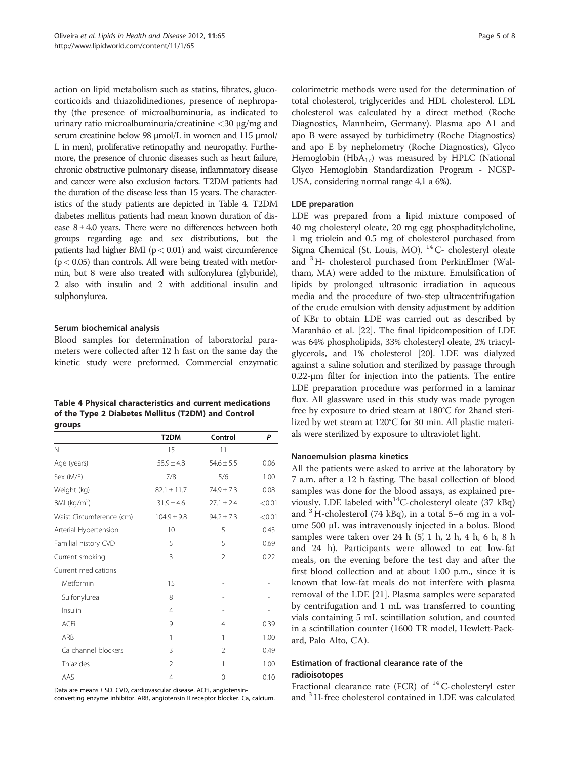action on lipid metabolism such as statins, fibrates, glucocorticoids and thiazolidinediones, presence of nephropathy (the presence of microalbuminuria, as indicated to urinary ratio microalbuminuria/creatinine <30 μg/mg and serum creatinine below 98 μmol/L in women and 115 μmol/ L in men), proliferative retinopathy and neuropathy. Furthemore, the presence of chronic diseases such as heart failure, chronic obstructive pulmonary disease, inflammatory disease and cancer were also exclusion factors. T2DM patients had the duration of the disease less than 15 years. The characteristics of the study patients are depicted in Table 4. T2DM diabetes mellitus patients had mean known duration of disease  $8 \pm 4.0$  years. There were no differences between both groups regarding age and sex distributions, but the patients had higher BMI ( $p < 0.01$ ) and waist circumference  $(p < 0.05)$  than controls. All were being treated with metformin, but 8 were also treated with sulfonylurea (glyburide), 2 also with insulin and 2 with additional insulin and sulphonylurea.

#### Serum biochemical analysis

Blood samples for determination of laboratorial parameters were collected after 12 h fast on the same day the kinetic study were preformed. Commercial enzymatic

| Table 4 Physical characteristics and current medications |
|----------------------------------------------------------|
| of the Type 2 Diabetes Mellitus (T2DM) and Control       |
| groups                                                   |

|                          | T <sub>2</sub> DM | Control        | P      |
|--------------------------|-------------------|----------------|--------|
| N                        | 15                | 11             |        |
| Age (years)              | $58.9 \pm 4.8$    | $54.6 \pm 5.5$ | 0.06   |
| Sex (M/F)                | 7/8               | 5/6            | 1.00   |
| Weight (kg)              | $82.1 \pm 11.7$   | $74.9 \pm 7.3$ | 0.08   |
| BMI ( $\text{kg/m}^2$ )  | $31.9 \pm 4.6$    | $27.1 \pm 2.4$ | < 0.01 |
| Waist Circumference (cm) | $104.9 \pm 9.8$   | $94.2 \pm 7.3$ | < 0.01 |
| Arterial Hypertension    | 10                | 5              | 0.43   |
| Familial history CVD     | 5                 | 5              | 0.69   |
| Current smoking          | 3                 | $\overline{2}$ | 0.22   |
| Current medications      |                   |                |        |
| Metformin                | 15                |                |        |
| Sulfonylurea             | 8                 |                |        |
| Insulin                  | $\overline{4}$    |                |        |
| <b>ACEi</b>              | 9                 | 4              | 0.39   |
| ARB                      | 1                 | 1              | 1.00   |
| Ca channel blockers      | 3                 | $\mathfrak{D}$ | 0.49   |
| Thiazides                | $\mathfrak{D}$    | 1              | 1.00   |
| AAS                      | 4                 | 0              | 0.10   |

Data are means ± SD. CVD, cardiovascular disease. ACEi, angiotensin-

converting enzyme inhibitor. ARB, angiotensin II receptor blocker. Ca, calcium.

colorimetric methods were used for the determination of total cholesterol, triglycerides and HDL cholesterol. LDL cholesterol was calculated by a direct method (Roche Diagnostics, Mannheim, Germany). Plasma apo A1 and apo B were assayed by turbidimetry (Roche Diagnostics) and apo E by nephelometry (Roche Diagnostics), Glyco Hemoglobin ( $HbA_{1c}$ ) was measured by HPLC (National Glyco Hemoglobin Standardization Program - NGSP-USA, considering normal range 4,1 a 6%).

#### LDE preparation

LDE was prepared from a lipid mixture composed of 40 mg cholesteryl oleate, 20 mg egg phosphaditylcholine, 1 mg triolein and 0.5 mg of cholesterol purchased from Sigma Chemical (St. Louis, MO). <sup>14</sup> C- cholesteryl oleate and <sup>3</sup>H- cholesterol purchased from PerkinElmer (Waltham, MA) were added to the mixture. Emulsification of lipids by prolonged ultrasonic irradiation in aqueous media and the procedure of two-step ultracentrifugation of the crude emulsion with density adjustment by addition of KBr to obtain LDE was carried out as described by Maranhão et al. [\[22\]](#page-6-0). The final lipidcomposition of LDE was 64% phospholipids, 33% cholesteryl oleate, 2% triacylglycerols, and 1% cholesterol [[20](#page-6-0)]. LDE was dialyzed against a saline solution and sterilized by passage through 0.22-μm filter for injection into the patients. The entire LDE preparation procedure was performed in a laminar flux. All glassware used in this study was made pyrogen free by exposure to dried steam at 180°C for 2hand sterilized by wet steam at 120°C for 30 min. All plastic materials were sterilized by exposure to ultraviolet light.

#### Nanoemulsion plasma kinetics

All the patients were asked to arrive at the laboratory by 7 a.m. after a 12 h fasting. The basal collection of blood samples was done for the blood assays, as explained previously. LDE labeled with<sup>14</sup>C-cholesteryl oleate (37 kBq) and  $3$  H-cholesterol (74 kBq), in a total 5–6 mg in a volume 500 μL was intravenously injected in a bolus. Blood samples were taken over 24 h (5', 1 h, 2 h, 4 h, 6 h, 8 h and 24 h). Participants were allowed to eat low-fat meals, on the evening before the test day and after the first blood collection and at about 1:00 p.m., since it is known that low-fat meals do not interfere with plasma removal of the LDE [[21\]](#page-6-0). Plasma samples were separated by centrifugation and 1 mL was transferred to counting vials containing 5 mL scintillation solution, and counted in a scintillation counter (1600 TR model, Hewlett-Packard, Palo Alto, CA).

# Estimation of fractional clearance rate of the radioisotopes

Fractional clearance rate (FCR) of  $^{14}$  C-cholesteryl ester and <sup>3</sup>H-free cholesterol contained in LDE was calculated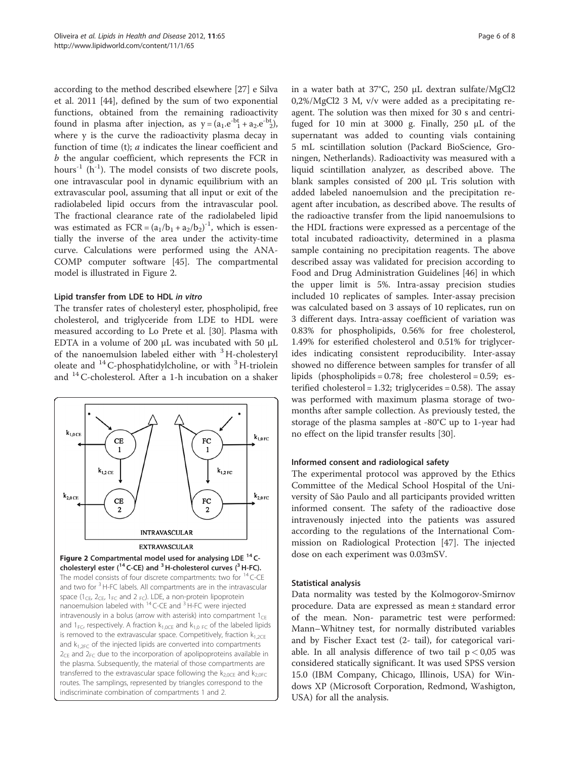according to the method described elsewhere [\[27](#page-6-0)] e Silva et al. 2011 [[44\]](#page-7-0), defined by the sum of two exponential functions, obtained from the remaining radioactivity found in plasma after injection, as  $y = (a_1 \cdot e^{-bt} + a_2 \cdot e^{-bt})$ , where y is the curve the radioactivity plasma decay in function of time (t); a indicates the linear coefficient and b the angular coefficient, which represents the FCR in hours<sup>-1</sup> (h<sup>-1</sup>). The model consists of two discrete pools, one intravascular pool in dynamic equilibrium with an extravascular pool, assuming that all input or exit of the radiolabeled lipid occurs from the intravascular pool. The fractional clearance rate of the radiolabeled lipid was estimated as  $FCR = (a_1/b_1 + a_2/b_2)^{-1}$ , which is essentially the inverse of the area under the activity-time curve. Calculations were performed using the ANA-COMP computer software [\[45\]](#page-7-0). The compartmental model is illustrated in Figure 2.

#### Lipid transfer from LDE to HDL in vitro

The transfer rates of cholesteryl ester, phospholipid, free cholesterol, and triglyceride from LDE to HDL were measured according to Lo Prete et al. [\[30](#page-6-0)]. Plasma with EDTA in a volume of 200 μL was incubated with 50 μL of the nanoemulsion labeled either with  $3H$ -cholesteryl oleate and  $^{14}$  C-phosphatidylcholine, or with  $^{3}$  H-triolein and 14C-cholesterol. After a 1-h incubation on a shaker



in a water bath at 37°C, 250 μL dextran sulfate/MgCl2 0,2%/MgCl2 3 M, v/v were added as a precipitating reagent. The solution was then mixed for 30 s and centrifuged for 10 min at 3000 g. Finally, 250 μL of the supernatant was added to counting vials containing 5 mL scintillation solution (Packard BioScience, Groningen, Netherlands). Radioactivity was measured with a liquid scintillation analyzer, as described above. The blank samples consisted of 200 μL Tris solution with added labeled nanoemulsion and the precipitation reagent after incubation, as described above. The results of the radioactive transfer from the lipid nanoemulsions to the HDL fractions were expressed as a percentage of the total incubated radioactivity, determined in a plasma sample containing no precipitation reagents. The above described assay was validated for precision according to Food and Drug Administration Guidelines [[46](#page-7-0)] in which the upper limit is 5%. Intra-assay precision studies included 10 replicates of samples. Inter-assay precision was calculated based on 3 assays of 10 replicates, run on 3 different days. Intra-assay coefficient of variation was 0.83% for phospholipids, 0.56% for free cholesterol, 1.49% for esterified cholesterol and 0.51% for triglycerides indicating consistent reproducibility. Inter-assay showed no difference between samples for transfer of all lipids (phospholipids =  $0.78$ ; free cholesterol =  $0.59$ ; esterified cholesterol = 1.32; triglycerides = 0.58). The assay was performed with maximum plasma storage of twomonths after sample collection. As previously tested, the storage of the plasma samples at -80°C up to 1-year had no effect on the lipid transfer results [[30\]](#page-6-0).

#### Informed consent and radiological safety

The experimental protocol was approved by the Ethics Committee of the Medical School Hospital of the University of São Paulo and all participants provided written informed consent. The safety of the radioactive dose intravenously injected into the patients was assured according to the regulations of the International Commission on Radiological Protection [\[47](#page-7-0)]. The injected dose on each experiment was 0.03mSV.

# Statistical analysis

Data normality was tested by the Kolmogorov-Smirnov procedure. Data are expressed as mean ± standard error of the mean. Non- parametric test were performed: Mann–Whitney test, for normally distributed variables and by Fischer Exact test (2- tail), for categorical variable. In all analysis difference of two tail  $p < 0.05$  was considered statically significant. It was used SPSS version 15.0 (IBM Company, Chicago, Illinois, USA) for Windows XP (Microsoft Corporation, Redmond, Washigton, USA) for all the analysis.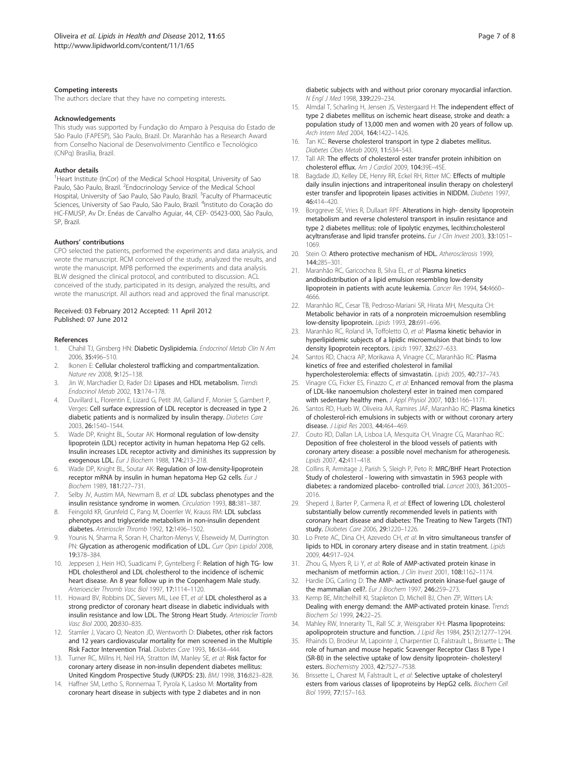#### <span id="page-6-0"></span>Competing interests

The authors declare that they have no competing interests.

#### Acknowledgements

This study was supported by Fundação do Amparo à Pesquisa do Estado de São Paulo (FAPESP), São Paulo, Brazil. Dr. Maranhão has a Research Award from Conselho Nacional de Desenvolvimento Científico e Tecnológico (CNPq) Brasília, Brazil.

#### Author details

<sup>1</sup>Heart Institute (InCor) of the Medical School Hospital, University of Sao Paulo, São Paulo, Brazil. <sup>2</sup>Endocrinology Service of the Medical School Hospital, University of Sao Paulo, São Paulo, Brazil. <sup>3</sup>Faculty of Pharmaceutic Sciences, University of Sao Paulo, São Paulo, Brazil. <sup>4</sup>Instituto do Coração do HC-FMUSP, Av Dr. Enéas de Carvalho Aguiar, 44, CEP- 05423-000, São Paulo, SP, Brazil.

#### Authors' contributions

CPO selected the patients, performed the experiments and data analysis, and wrote the manuscript. RCM conceived of the study, analyzed the results, and wrote the manuscript. MPB performed the experiments and data analysis. BLW designed the clinical protocol, and contributed to discussion. ACL conceived of the study, participated in its design, analyzed the results, and wrote the manuscript. All authors read and approved the final manuscript.

#### Received: 03 February 2012 Accepted: 11 April 2012 Published: 07 June 2012

#### References

- 1. Chahil TJ, Ginsberg HN: Diabetic Dyslipidemia. Endocrinol Metab Clin N Am 2006, 35:496–510.
- 2. Ikonen E: Cellular cholesterol trafficking and compartmentalization. Nature rev 2008, 9:125–138.
- 3. Jin W, Marchadier D, Rader DJ: Lipases and HDL metabolism. Trends Endocrinol Metab 2002, 13:174–178.
- 4. Duvillard L, Florentin E, Lizard G, Petit JM, Galland F, Monier S, Gambert P, Verges: Cell surface expression of LDL receptor is decreased in type 2 diabetic patients and is normalized by insulin therapy. Diabetes Care 2003, 26:1540–1544.
- 5. Wade DP, Knight BL, Soutar AK: Hormonal regulation of low-density lipoprotein (LDL) receptor activity in human hepatoma Hep G2 cells. Insulin increases LDL receptor activity and diminishes its suppression by exogenous LDL. Eur J Biochem 1988, 174:213–218.
- 6. Wade DP, Knight BL, Soutar AK: Regulation of low-density-lipoprotein receptor mRNA by insulin in human hepatoma Hep G2 cells. Eur J Biochem 1989, 181:727–731.
- 7. Selby JV, Austim MA, Newmam B, et al: LDL subclass phenotypes and the insulin resistance syndrome in women. Circulation 1993, 88:381–387.
- 8. Feingold KR, Grunfeld C, Pang M, Doerrler W, Krauss RM: LDL subclass phenotypes and triglyceride metabolism in non-insulin dependent diabetes. Arterioscler Thromb 1992, 12:1496–1502.
- 9. Younis N, Sharma R, Soran H, Charlton-Menys V, Elseweidy M, Durrington PN: Glycation as atherogenic modification of LDL. Curr Opin Lipidol 2008, 19:378–384.
- 10. Jeppesen J, Hein HO, Suadicami P, Gyntelberg F: Relation of high TG- low HDL cholestherol and LDL cholestherol to the incidence of ischemic heart disease. An 8 year follow up in the Copenhagem Male study. Arterioescler Thromb Vasc Biol 1997, 17:1114–1120.
- 11. Howard BV, Robbins DC, Sievers ML, Lee ET, et al: LDL cholestherol as a strong predictor of coronary heart disease in diabetic individuals with insulin resistance and low LDL. The Strong Heart Study. Arterioscler Tromb Vasc Biol 2000, 20:830–835.
- 12. Stamler J, Vacaro O, Neaton JD, Wentworth D: Diabetes, other risk factors and 12 years cardiovascular mortality for men screened in the Multiple Risk Factor Intervention Trial. Diabetes Care 1993, 16:434–444.
- 13. Turner RC, Millns H, Neil HA, Stratton IM, Manley SE, et al: Risk factor for coronary artery disease in non-insulin dependent diabetes mellitus: United Kingdom Prospective Study (UKPDS: 23). BMJ 1998, 316:823–828.
- 14. Haffner SM, Letho S, Ronnemaa T, Pyrola K, Laskso M: Mortality from coronary heart disease in subjects with type 2 diabetes and in non

diabetic subjects with and without prior coronary myocardial infarction. N Engl J Med 1998, 339:229–234.

- 15. Almdal T, Scharling H, Jensen JS, Vestergaard H: The independent effect of type 2 diabetes mellitus on ischemic heart disease, stroke and death: a population study of 13,000 men and women with 20 years of follow up. Arch Intern Med 2004, 164:1422–1426.
- 16. Tan KC: Reverse cholesterol transport in type 2 diabetes mellitus. Diabetes Obes Metab 2009, 11:534–543.
- 17. Tall AR: The effects of cholesterol ester transfer protein inhibition on cholesterol efflux. Am J Cardiol 2009, 104:39E–45E.
- 18. Bagdade JD, Kelley DE, Henry RR, Eckel RH, Ritter MC: Effects of multiple daily insulin injections and intraperitoneal insulin therapy on cholesteryl ester transfer and lipoprotein lipases activities in NIDDM. Diabetes 1997, 46:414–420.
- 19. Borggreve SE, Vries R, Dullaart RPF: Alterations in high- density lipoprotein metabolism and reverse cholesterol transport in insulin resistance and type 2 diabetes mellitus: role of lipolytic enzymes, lecithin:cholesterol acyltransferase and lipid transfer proteins. Eur J Clin Invest 2003, 33:1051-1069.
- 20. Stein O: Athero protective mechanism of HDL. Atherosclerosis 1999, 144:285–301.
- 21. Maranhão RC, Garicochea B, Silva EL, et al: Plasma kinetics andbiodistribution of a lipid emulsion resembling low-density lipoprotein in patients with acute leukemia. Cancer Res 1994, 54:4660– 4666.
- 22. Maranhão RC, Cesar TB, Pedroso-Mariani SR, Hirata MH, Mesquita CH: Metabolic behavior in rats of a nonprotein microemulsion resembling low-density lipoprotein. Lipids 1993, 28:691–696.
- 23. Maranhão RC, Roland IA, Toffoletto O, et al: Plasma kinetic behavior in hyperlipidemic subjects of a lipidic microemulsion that binds to low density lipoprotein receptors. Lipids 1997, 32:627-633.
- 24. Santos RD, Chacra AP, Morikawa A, Vinagre CC, Maranhão RC: Plasma kinetics of free and esterified cholesterol in familial hypercholesterolemia: effects of simvastatin. Lipids 2005, 40:737–743.
- Vinagre CG, Ficker ES, Finazzo C, et al: Enhanced removal from the plasma of LDL-like nanoemulsion cholesteryl ester in trained men compared with sedentary healthy men. J Appl Physiol 2007, 103:1166-1171.
- 26. Santos RD, Hueb W, Oliveira AA, Ramires JAF, Maranhão RC: Plasma kinetics of cholesterol-rich emulsions in subjects with or without coronary artery disease. J Lipid Res 2003, 44:464–469.
- 27. Couto RD, Dallan LA, Lisboa LA, Mesquita CH, Vinagre CG, Maranhao RC: Deposition of free cholesterol in the blood vessels of patients with coronary artery disease: a possible novel mechanism for atherogenesis. Lipids 2007, 42:411–418.
- 28. Collins R, Armitage J, Parish S, Sleigh P, Peto R: MRC/BHF Heart Protection Study of cholesterol - lowering with simvastatin in 5963 people with diabetes: a randomized placebo- controlled trial. Lancet 2003, 361:2005– 2016.
- 29. Sheperd J, Barter P, Carmena R, et al: Effect of lowering LDL cholesterol substantially below currently recommended levels in patients with coronary heart disease and diabetes: The Treating to New Targets (TNT) study. Diabetes Care 2006, 29:1220–1226.
- 30. Lo Prete AC, Dina CH, Azevedo CH, et al: In vitro simultaneous transfer of lipids to HDL in coronary artery disease and in statin treatment. Lipids 2009, 44:917–924.
- 31. Zhou G, Myers R, Li Y, et al: Role of AMP-activated protein kinase in mechanism of metformin action. J Clin Invest 2001, 108:1162-1174.
- Hardie DG, Carling D: The AMP- activated protein kinase-fuel gauge of the mammalian cell?. Eur J Biochem 1997, 246:259–273.
- 33. Kemp BE, Mitchelhill KI, Stapleton D, Michell BJ, Chen ZP, Witters LA: Dealing with energy demand: the AMP-activated protein kinase. Trends Biochem Sci 1999, 24:22–25.
- 34. Mahley RW, Innerarity TL, Rall SC Jr, Weisgraber KH: Plasma lipoproteins: apolipoprotein structure and function. J Lipid Res 1984, 25(12):1277–1294.
- 35. Rhainds D, Brodeur M, Lapointe J, Charpentier D, Falstrault L, Brissette L: The role of human and mouse hepatic Scavenger Receptor Class B Type I (SR-BI) in the selective uptake of low density lipoprotein- cholesteryl esters. Biochemistry 2003, 42:7527–7538.
- 36. Brissette L, Charest M, Falstrault L, et al: Selective uptake of cholesteryl esters from various classes of lipoproteins by HepG2 cells. Biochem Cell Biol 1999, 77:157–163.